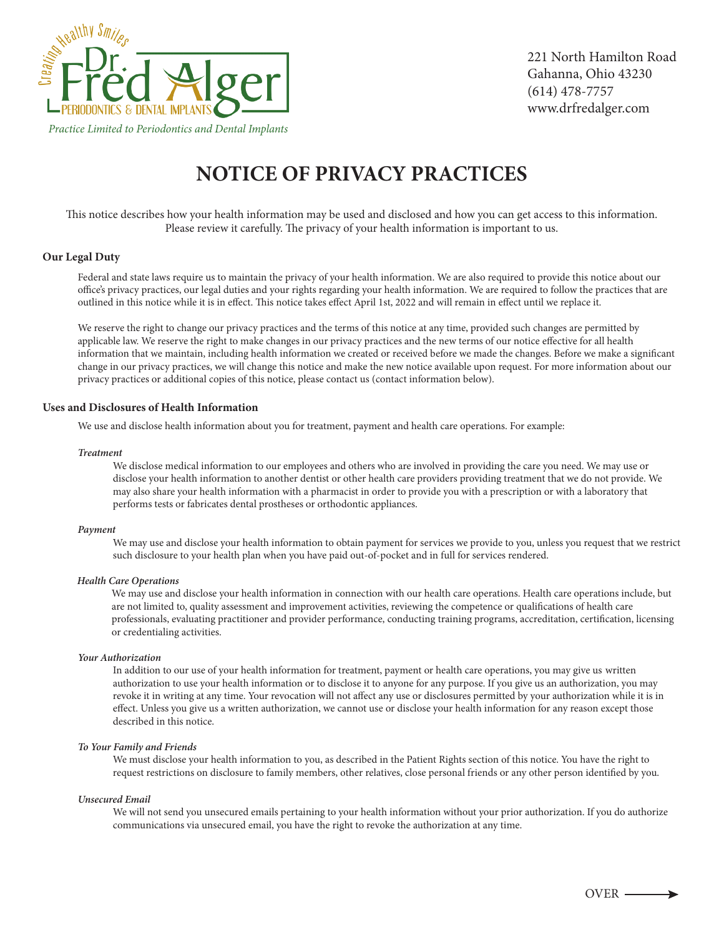

# **NOTICE OF PRIVACY PRACTICES**

This notice describes how your health information may be used and disclosed and how you can get access to this information. Please review it carefully. The privacy of your health information is important to us.

# **Our Legal Duty**

Federal and state laws require us to maintain the privacy of your health information. We are also required to provide this notice about our oce's privacy practices, our legal duties and your rights regarding your health information. We are required to follow the practices that are outlined in this notice while it is in effect. This notice takes effect April 1st, 2022 and will remain in effect until we replace it.

 We reserve the right to change our privacy practices and the terms of this notice at any time, provided such changes are permitted by applicable law. We reserve the right to make changes in our privacy practices and the new terms of our notice effective for all health information that we maintain, including health information we created or received before we made the changes. Before we make a significant change in our privacy practices, we will change this notice and make the new notice available upon request. For more information about our privacy practices or additional copies of this notice, please contact us (contact information below).

# **Uses and Disclosures of Health Information**

We use and disclose health information about you for treatment, payment and health care operations. For example:

## *Treatment*

 We disclose medical information to our employees and others who are involved in providing the care you need. We may use or disclose your health information to another dentist or other health care providers providing treatment that we do not provide. We may also share your health information with a pharmacist in order to provide you with a prescription or with a laboratory that performs tests or fabricates dental prostheses or orthodontic appliances.

#### *Payment*

 We may use and disclose your health information to obtain payment for services we provide to you, unless you request that we restrict such disclosure to your health plan when you have paid out-of-pocket and in full for services rendered.

### *Health Care Operations*

 We may use and disclose your health information in connection with our health care operations. Health care operations include, but are not limited to, quality assessment and improvement activities, reviewing the competence or qualifications of health care professionals, evaluating practitioner and provider performance, conducting training programs, accreditation, certification, licensing or credentialing activities.

## *Your Authorization*

 In addition to our use of your health information for treatment, payment or health care operations, you may give us written authorization to use your health information or to disclose it to anyone for any purpose. If you give us an authorization, you may revoke it in writing at any time. Your revocation will not affect any use or disclosures permitted by your authorization while it is in effect. Unless you give us a written authorization, we cannot use or disclose your health information for any reason except those described in this notice.

## *To Your Family and Friends*

 We must disclose your health information to you, as described in the Patient Rights section of this notice. You have the right to request restrictions on disclosure to family members, other relatives, close personal friends or any other person identied by you.

## *Unsecured Email*

 We will not send you unsecured emails pertaining to your health information without your prior authorization. If you do authorize communications via unsecured email, you have the right to revoke the authorization at any time.